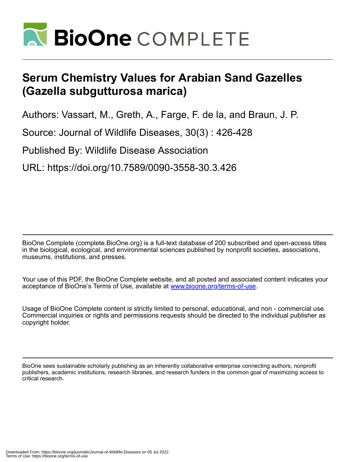

## **Serum Chemistry Values for Arabian Sand Gazelles (Gazella subgutturosa marica)**

Authors: Vassart, M., Greth, A., Farge, F. de la, and Braun, J. P.

Source: Journal of Wildlife Diseases, 30(3) : 426-428

Published By: Wildlife Disease Association

URL: https://doi.org/10.7589/0090-3558-30.3.426

BioOne Complete (complete.BioOne.org) is a full-text database of 200 subscribed and open-access titles in the biological, ecological, and environmental sciences published by nonprofit societies, associations, museums, institutions, and presses.

Your use of this PDF, the BioOne Complete website, and all posted and associated content indicates your acceptance of BioOne's Terms of Use, available at www.bioone.org/terms-of-use.

Usage of BioOne Complete content is strictly limited to personal, educational, and non - commercial use. Commercial inquiries or rights and permissions requests should be directed to the individual publisher as copyright holder.

BioOne sees sustainable scholarly publishing as an inherently collaborative enterprise connecting authors, nonprofit publishers, academic institutions, research libraries, and research funders in the common goal of maximizing access to critical research.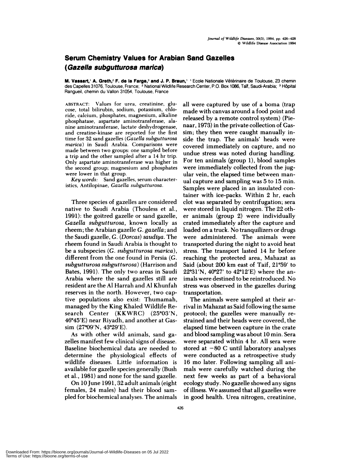## **Serum Chemistry Values for Arabian Sand Gazelles (Gazella subgutturosa marica)**

**M. Vassart,' A. Greth,<sup>2</sup> F. de la Farge,<sup>3</sup> and J. P. Braun,' ' Ecole Nationale Vétérinaire de Toulouse, 23 chemin** des Capelles 31076, Toulouse, France; <sup>2</sup> National Wildlife Research Center, P.O. Box 1086, Taïf, Saudi-Arabia; <sup>3</sup> Hôpital Rangueil, chemin du Vallon 31054, Toulouse, France

**ABSTRACT:** Values for urea, creatinine, glu cose, total bilirubin, sodium, potassium, chloride, calcium, phosphates, magnesium, alkaline phosphatase, aspartate aminotransferase, alanine aminotransferase, lactate deshydrogenase, and creatine-kinase are reported for the first time for 32 sand gazelles *(Gazella subgutturosa marica)* in Saudi Arabia. Comparisons were made between two groups: one sampled before a trip and the other sampled after a 14 hr trip. Only aspartate aminotransferase was higher in the second group; magnesium and phosphates were lower in that group.

*Key words:* Sand gazelles, serum characteristics, Antilopinae, *Gazella subgutturosa.*

Three species of gazelles are considered native to Saudi Arabia (Thouless et al., 1991): the goitred gazelle or sand gazelle, *Gazella subgutturosa,* known locally as nheem; the Arabian gazelle G. *gazella;* and the Saudi gazelle, G. *(Dorcas) saudiya.* The rheem found in Saudi Arabia is thought to be a subspecies (G. *subgutturosa marica*), different from the one found in Persia (G. *subgutturosa subgut turosa)* (Harrison and Bates, 1991). The only two areas in Saudi Arabia where the sand gazelles still are resident are the Al Harrah and Al Khunfah reserves in the north. However, two captive populations also exist: Thumamah, managed by the King Khaled Wildlife Research Center (KKWRC) (25°03'N,  $46°45'E$ ) near Riyadh, and another at Gassim (27°09'N, 43°29'E).

As with other wild animals, sand gazelles manifest few clinical signs of disease. Baseline biochemical data are needed to determine the physiological effects of wildlife diseases. Little information is available for gazelle species generally (Bush et a!., 1981) and none for the sand gazelle.

On 10 June 1991, 32 adult animals (eight females, 24 males) had their blood sam pled for biochemical analyses. The animals all were captured by use of a boma (trap made with canvas around a food point and released by a remote control system) (Pienaar, 1973) in the private collection of Gassim; they then were caught manually inside the trap. The animals' heads were covered immediately on capture, and no undue stress was noted during handling. For ten animals (group 1), blood samples were immediately collected from the jugular vein, the elapsed time between man ual capture and sampling was 5 to 15 min. Samples were placed in an insulated container with ice-packs. Within 2 hr, each clot was separated by centrifugation; sera were stored in liquid nitrogen. The 22 oth er animals (group 2) were individually crated immediately after the capture and loaded on a truck. No tranquilizers on drugs were administered. The animals were transported during the night to avoid heat stress. The transport lasted 14 hr before reaching the protected area, Mahazat as Said (about 200 km east of Taif,  $21°59'$  to 22°31'N, 40°27' to 42°12'E) where the animals were destined to be reintroduced. No stress was observed in the gazelles during transportation.

The animals were sampled at their arrival in Mahazat as Said following the same protocol; the gazelles were manually re strained and their heads were covered, the elapsed time between capture in the crate and blood sampling was about 10 min. Sera were separated within 4 hr. All sera were stored at  $-80$  C until laboratory analyses were conducted as a retrospective study 16 mo later. Following sampling all animals were carefully watched during the next few weeks as part of a behavioral ecology study. No gazelle showed any signs of illness. We assumed that all gazelles were in good health. Urea nitrogen, creatinine,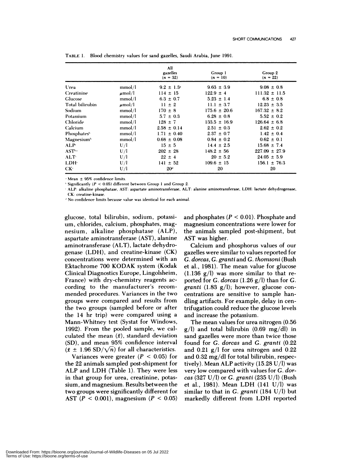|                                |             | All<br>gazelles<br>$(n = 32)$ | Group 1<br>$(n = 10)$ | Group 2<br>$(n = 22)$ |
|--------------------------------|-------------|-------------------------------|-----------------------|-----------------------|
| Urea                           | mmol/l      | $9.2 \pm 1.3$                 | $9.63 \pm 3.9$        | $9.08 \pm 0.8$        |
| <b>Creatinine</b>              | $\mu$ mol/l | $114 \pm 15$                  | $122.9 \pm 4$         | $111.32 \pm 11.5$     |
| Glucose                        | mmol/l      | $6.3 \pm 0.7$                 | $5.23 \pm 1.4$        | $6.8 \pm 0.8$         |
| Total bilirubin                | $\mu$ mol/l | $11 \pm 2$                    | 11.1 $\pm$ 3.7        | $12.23 \pm 3.5$       |
| Sodium                         | mmol/l      | $170 \pm 8$                   | $175.6 \pm 20.6$      | $167.32 \pm 8.2$      |
| Potassium                      | mmol/l      | $5.7 \pm 0.3$                 | $6.28 \pm 0.8$        | $5.52 \pm 0.2$        |
| Chloride                       | mmol/l      | $128 \pm 7$                   | $133.5 \pm 16.9$      | $126.64 \pm 6.8$      |
| Calcium                        | mmol/l      | $2.58 \pm 0.14$               | $2.51 \pm 0.3$        | $2.62 \pm 0.2$        |
| <b>Phosphates</b> <sup>b</sup> | mmol/l      | $1.71 \pm 0.40$               | $2.37 \pm 0.7$        | $1.42 \pm 0.4$        |
| Magnesium <sup>h</sup>         | mmol/l      | $0.68 \pm 0.08$               | $0.84 \pm 0.2$        | $0.62 \pm 0.1$        |
| ALP <sup>c</sup>               | U/I         | $15 \pm 5$                    | $14.4 \pm 2.5$        | $15.68 \pm 7.4$       |
| <b>AST</b> <sup>b.c</sup>      | U/I         | $202 \pm 28$                  | $148.2 \pm 56$        | $227.09 \pm 27.9$     |
| ALT <sup>c</sup>               | U/I         | $22 \pm 4$                    | $20 \pm 5.2$          | $24.05 \pm 5.9$       |
| LDH <sup>.</sup>               | U/I         | $141 \pm 52$                  | $109.6 \pm 15$        | $156.1 \pm 76.3$      |
| $CK^c$                         | U/I         | 20 <sup>1</sup>               | 20                    | 20                    |

**TABLE** 1. Blood chemistry values for sand gazelles, Saudi Arabia, June 1991.

Mean **<sup>±</sup>** 959 confidence limits.

 $+$  Significantly ( $P < 0.05$ ) different between Group 1 and Group 2.

ALP: alkaline phosphatase, AST: aspartate aminotransferase, ALT: alanine aminotransferase, LDH: lactate dehydrogenase, CK: creatine-kinase.

**<sup>1</sup>** No confidence limits because value was identical for each animal.

glucose, total bilirubin, sodium, potassium, chlorides, calcium, phosphates, magnesium **,** alkaline phosphatase (ALP), aspartate aminotransferase (AST), alanine aminotransferase (ALT), lactate dehydrogenase (LDH), and creatine-kinase (CK) concentrations were determined with an Ektachrome 700 KODAK system (Kodak Clinical Diagnostics Europe, Lingolsheim, France) with dry-chemistry reagents ac cording to the manufacturer's recom mended procedures. Variances in the two groups were compared and results from the two groups (sampled before or after the 14 hr trip) were compared using a Mann-Whitney test (Systat for Windows, 1992). From the pooled sample, we calculated the mean  $(\bar{x})$ , standard deviation (SD), and mean 95% confidence interval  $(\bar{x} \pm 1.96 \text{ SD}/\sqrt{n})$  for all characteristics.

Variances were greater  $(P < 0.05)$  for the 22 animals sampled post-shipment for ALP and LDH (Table 1). They were less in that group for urea, creatinine, potassium, and magnesium. Results between the two groups were significantly different for AST *(P* <sup>&</sup>lt; 0.001), magnesium *(P* <sup>&</sup>lt; 0.05) and phosphates *(P* <sup>&</sup>lt; 0.01). Phosphate and magnesium concentrations were lower for the animals sampled post-shipment, but AST was higher.

Calcium and phosphorus values of our gazelles were similar to values reported for *G. dorcas, G. granti* and *G. thomsoni* (Bush et al., 1981). The mean value for glucose  $(1.136 \text{ g/l})$  was more similar to that reported for *G. dorcas* (1.26 g/l) than for *G. granti* (1.83 g/l); however, glucose con centrations are sensitive to sample handling artifacts. For example, delay in centrifugation could reduce the glucose levels and increase the potassium.

The mean values for urea nitrogen (0.56  $g$ /l) and total bilirubin (0.69 mg/dl) in sand gazelles were more than twice those found for *G. dorcas* and *G. granti* (0.22 and 0.21 g/l for urea nitrogen and 0.22 and  $0.32 \text{ mg/dl}$  for total bilirubin, respectively). Mean ALP activity  $(15.28 \text{ U/l})$  was very low compared with values for *G. dor cas* (327 U/l) or *G. granti* (235 U/l) (Bush et al., 1981). Mean LDH (141 U/l) was similar to that in *G.granti* (184 U/!) but markedly different from LDH reported